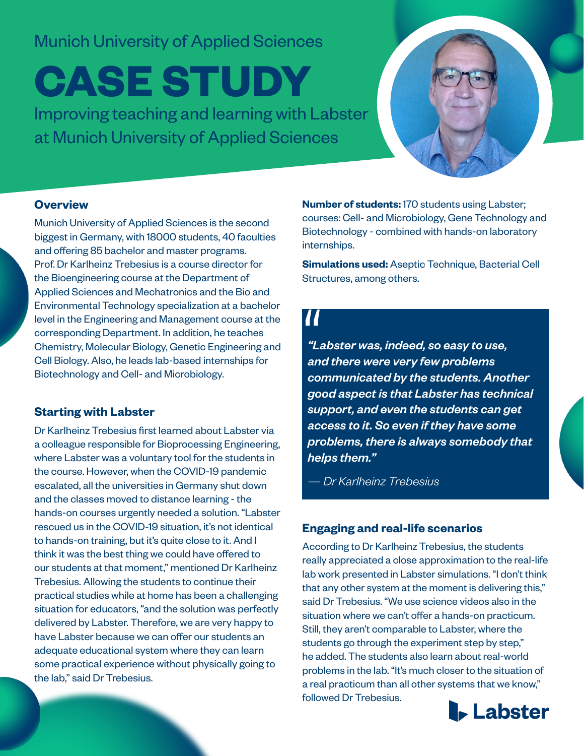## Munich University of Applied Sciences

# **CASE STUDY**

Improving teaching and learning with Labster at Munich University of Applied Sciences



## **Overview**

Munich University of Applied Sciences is the second biggest in Germany, with 18000 students, 40 faculties and offering 85 bachelor and master programs. Prof. Dr Karlheinz Trebesius is a course director for the Bioengineering course at the Department of Applied Sciences and Mechatronics and the Bio and Environmental Technology specialization at a bachelor level in the Engineering and Management course at the corresponding Department. In addition, he teaches Chemistry, Molecular Biology, Genetic Engineering and Cell Biology. Also, he leads lab-based internships for Biotechnology and Cell- and Microbiology.

## **Starting with Labster**

Dr Karlheinz Trebesius first learned about Labster via a colleague responsible for Bioprocessing Engineering, where Labster was a voluntary tool for the students in the course. However, when the COVID-19 pandemic escalated, all the universities in Germany shut down and the classes moved to distance learning - the hands-on courses urgently needed a solution. "Labster rescued us in the COVID-19 situation, it's not identical to hands-on training, but it's quite close to it. And I think it was the best thing we could have offered to our students at that moment," mentioned Dr Karlheinz Trebesius. Allowing the students to continue their practical studies while at home has been a challenging situation for educators, "and the solution was perfectly delivered by Labster. Therefore, we are very happy to have Labster because we can offer our students an adequate educational system where they can learn some practical experience without physically going to the lab," said Dr Trebesius.

**Number of students:** 170 students using Labster; courses: Cell- and Microbiology, Gene Technology and Biotechnology - combined with hands-on laboratory internships.

**Simulations used:** Aseptic Technique, Bacterial Cell Structures, among others.

*"Labster was, indeed, so easy to use, and there were very few problems communicated by the students. Another good aspect is that Labster has technical support, and even the students can get access to it. So even if they have some problems, there is always somebody that helps them."*   $66$ <br>"Labst"<br>and th

*— Dr Karlheinz Trebesius*

## **Engaging and real-life scenarios**

According to Dr Karlheinz Trebesius, the students really appreciated a close approximation to the real-life lab work presented in Labster simulations. "I don't think that any other system at the moment is delivering this," said Dr Trebesius. "We use science videos also in the situation where we can't offer a hands-on practicum. Still, they aren't comparable to Labster, where the students go through the experiment step by step," he added. The students also learn about real-world problems in the lab. "It's much closer to the situation of a real practicum than all other systems that we know," followed Dr Trebesius.